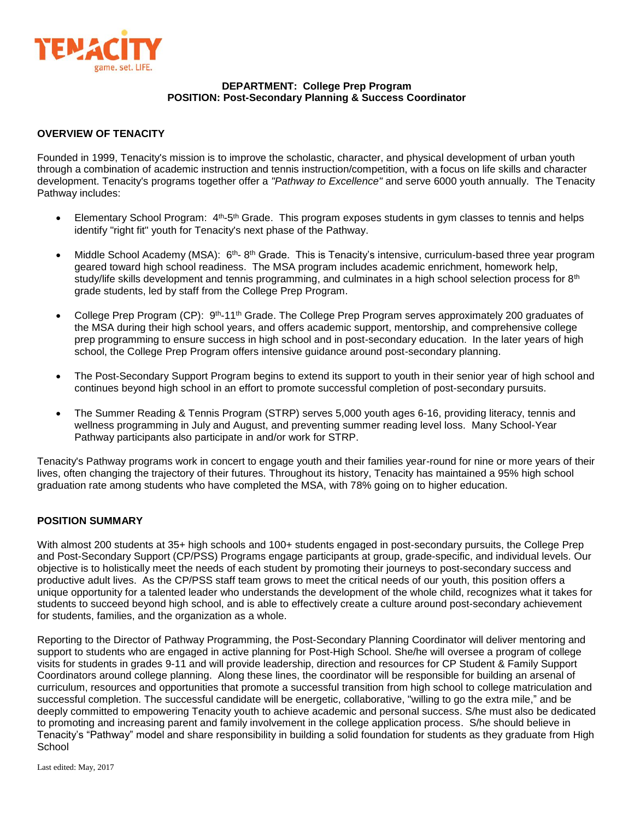

### **DEPARTMENT: College Prep Program POSITION: Post-Secondary Planning & Success Coordinator**

### **OVERVIEW OF TENACITY**

Founded in 1999, Tenacity's mission is to improve the scholastic, character, and physical development of urban youth through a combination of academic instruction and tennis instruction/competition, with a focus on life skills and character development. Tenacity's programs together offer a *"Pathway to Excellence"* and serve 6000 youth annually. The Tenacity Pathway includes:

- Elementary School Program: 4<sup>th</sup>-5<sup>th</sup> Grade. This program exposes students in gym classes to tennis and helps identify "right fit" youth for Tenacity's next phase of the Pathway.
- Middle School Academy (MSA): 6<sup>th</sup>- 8<sup>th</sup> Grade. This is Tenacity's intensive, curriculum-based three year program geared toward high school readiness. The MSA program includes academic enrichment, homework help, study/life skills development and tennis programming, and culminates in a high school selection process for 8<sup>th</sup> grade students, led by staff from the College Prep Program.
- College Prep Program (CP): 9<sup>th</sup>-11<sup>th</sup> Grade. The College Prep Program serves approximately 200 graduates of the MSA during their high school years, and offers academic support, mentorship, and comprehensive college prep programming to ensure success in high school and in post-secondary education. In the later years of high school, the College Prep Program offers intensive guidance around post-secondary planning.
- The Post-Secondary Support Program begins to extend its support to youth in their senior year of high school and continues beyond high school in an effort to promote successful completion of post-secondary pursuits.
- The Summer Reading & Tennis Program (STRP) serves 5,000 youth ages 6-16, providing literacy, tennis and wellness programming in July and August, and preventing summer reading level loss. Many School-Year Pathway participants also participate in and/or work for STRP.

Tenacity's Pathway programs work in concert to engage youth and their families year-round for nine or more years of their lives, often changing the trajectory of their futures. Throughout its history, Tenacity has maintained a 95% high school graduation rate among students who have completed the MSA, with 78% going on to higher education.

### **POSITION SUMMARY**

With almost 200 students at 35+ high schools and 100+ students engaged in post-secondary pursuits, the College Prep and Post-Secondary Support (CP/PSS) Programs engage participants at group, grade-specific, and individual levels. Our objective is to holistically meet the needs of each student by promoting their journeys to post-secondary success and productive adult lives. As the CP/PSS staff team grows to meet the critical needs of our youth, this position offers a unique opportunity for a talented leader who understands the development of the whole child, recognizes what it takes for students to succeed beyond high school, and is able to effectively create a culture around post-secondary achievement for students, families, and the organization as a whole.

Reporting to the Director of Pathway Programming, the Post-Secondary Planning Coordinator will deliver mentoring and support to students who are engaged in active planning for Post-High School. She/he will oversee a program of college visits for students in grades 9-11 and will provide leadership, direction and resources for CP Student & Family Support Coordinators around college planning. Along these lines, the coordinator will be responsible for building an arsenal of curriculum, resources and opportunities that promote a successful transition from high school to college matriculation and successful completion. The successful candidate will be energetic, collaborative, "willing to go the extra mile," and be deeply committed to empowering Tenacity youth to achieve academic and personal success. S/he must also be dedicated to promoting and increasing parent and family involvement in the college application process. S/he should believe in Tenacity's "Pathway" model and share responsibility in building a solid foundation for students as they graduate from High **School**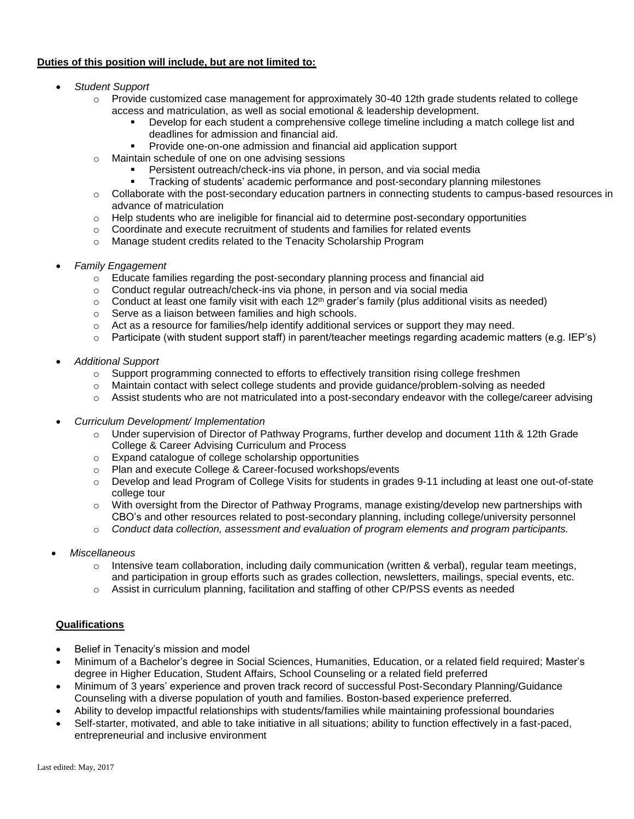# **Duties of this position will include, but are not limited to:**

- *Student Support*
	- $\circ$  Provide customized case management for approximately 30-40 12th grade students related to college access and matriculation, as well as social emotional & leadership development.
		- Develop for each student a comprehensive college timeline including a match college list and deadlines for admission and financial aid.
		- **Provide one-on-one admission and financial aid application support**
	- o Maintain schedule of one on one advising sessions
		- Persistent outreach/check-ins via phone, in person, and via social media
		- Tracking of students' academic performance and post-secondary planning milestones
	- o Collaborate with the post-secondary education partners in connecting students to campus-based resources in advance of matriculation
	- $\circ$  Help students who are ineligible for financial aid to determine post-secondary opportunities
	- $\circ$  Coordinate and execute recruitment of students and families for related events
	- o Manage student credits related to the Tenacity Scholarship Program
- *Family Engagement* 
	- $\circ$  Educate families regarding the post-secondary planning process and financial aid
	- $\circ$  Conduct regular outreach/check-ins via phone, in person and via social media
	- $\circ$  Conduct at least one family visit with each 12<sup>th</sup> grader's family (plus additional visits as needed)
	- o Serve as a liaison between families and high schools.
	- $\circ$  Act as a resource for families/help identify additional services or support they may need.
	- o Participate (with student support staff) in parent/teacher meetings regarding academic matters (e.g. IEP's)
- *Additional Support* 
	- $\circ$  Support programming connected to efforts to effectively transition rising college freshmen
	- $\circ$  Maintain contact with select college students and provide guidance/problem-solving as needed
	- o Assist students who are not matriculated into a post-secondary endeavor with the college/career advising
- *Curriculum Development/ Implementation* 
	- o Under supervision of Director of Pathway Programs, further develop and document 11th & 12th Grade College & Career Advising Curriculum and Process
	- o Expand catalogue of college scholarship opportunities
	- o Plan and execute College & Career-focused workshops/events
	- o Develop and lead Program of College Visits for students in grades 9-11 including at least one out-of-state college tour
	- $\circ$  With oversight from the Director of Pathway Programs, manage existing/develop new partnerships with CBO's and other resources related to post-secondary planning, including college/university personnel
	- o *Conduct data collection, assessment and evaluation of program elements and program participants.*
- *Miscellaneous*
	- $\circ$  Intensive team collaboration, including daily communication (written & verbal), regular team meetings, and participation in group efforts such as grades collection, newsletters, mailings, special events, etc.
	- $\circ$  Assist in curriculum planning, facilitation and staffing of other CP/PSS events as needed

# **Qualifications**

- Belief in Tenacity's mission and model
- Minimum of a Bachelor's degree in Social Sciences, Humanities, Education, or a related field required; Master's degree in Higher Education, Student Affairs, School Counseling or a related field preferred
- Minimum of 3 years' experience and proven track record of successful Post-Secondary Planning/Guidance Counseling with a diverse population of youth and families. Boston-based experience preferred.
- Ability to develop impactful relationships with students/families while maintaining professional boundaries
- Self-starter, motivated, and able to take initiative in all situations; ability to function effectively in a fast-paced, entrepreneurial and inclusive environment